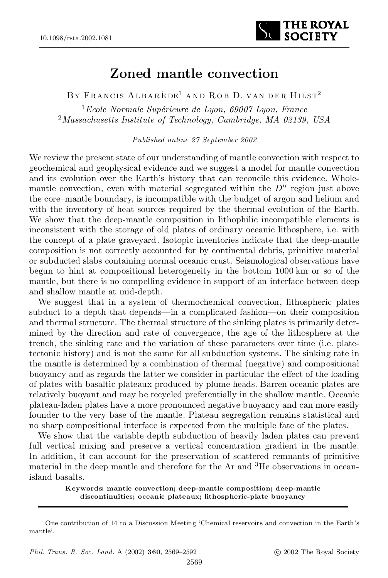# Zoned mantle convection

BY FRANCIS  $\mathrm{ALBAREDE}^{1}$  and  $\mathrm{ROB}$  D. van der  $\mathrm{HILST}^{2}$ 

<sup>1</sup>*Ecole Normale Sup¶erieure de Lyon, 69007 Lyon, France* <sup>2</sup>*Massachusetts Institute of Technology, Cambridge, MA 02139, USA*

*Published online 27 September 2002*

We review the present state of our understanding of mantle convection with respect to geochemical and geophysical evidence and we suggest a model for mantle convection and its evolution over the Earth's history that can reconcile this evidence. Whole mantle convection, even with material segregated within the  $D''$  region just above the core{mantle boundary, is incompatible with the budget of argon and helium and with the inventory of heat sources required by the thermal evolution of the Earth. We show that the deep-mantle composition in lithophilic incompatible elements is inconsistent with the storage of old plates of ordinary oceanic lithosphere, i.e. with the concept of a plate graveyard. Isotopic inventories indicate that the deep-mantle composition is not correctly accounted for by continental debris, primitive material or subducted slabs containing normal oceanic crust. Seismological observations have begun to hint at compositional heterogeneity in the bottom 1000 km or so of the mantle, but there is no compelling evidence in support of an interface between deep and shallow mantle at mid-depth.

We suggest that in a system of thermochemical convection, lithospheric plates subduct to a depth that depends—in a complicated fashion—on their composition and thermal structure. The thermal structure of the sinking plates is primarily deter mined by the direction and rate of convergence, the age of the lithosphere at the trench, the sinking rate and the variation of these parameters over time (i.e. plate tectonic history) and is not the same for all subduction systems. The sinking rate in the mantle is determined by a combination of thermal (negative) and compositional buoyancy and as regards the latter we consider in particular the effect of the loading of plates with basaltic plateaux produced by plume heads. Barren oceanic plates are relatively buoyant and may be recycled preferentially in the shallow mantle. Oceanic plateau-laden plates have a more pronounced negative buoyancy and can more easily founder to the very base of the mantle. Plateau segregation remains statistical and no sharp compositional interface is expected from the multiple fate of the plates.

We show that the variable depth subduction of heavily laden plates can prevent full vertical mixing and preserve a vertical concentration gradient in the mantle. In addition, it can account for the preservation of scattered remnants of primitive material in the deep mantle and therefore for the Ar and <sup>3</sup>He observations in oceanisland basalts.

Keywords: mantle convection; deep-mantle composition; deep-mantle discontinuities; oceanic plateaux; lithospheric-plate buoyancy

One contribution of 14 to a Discussion Meeting 'Chemical reservoirs and convection in the Earth's mantle'.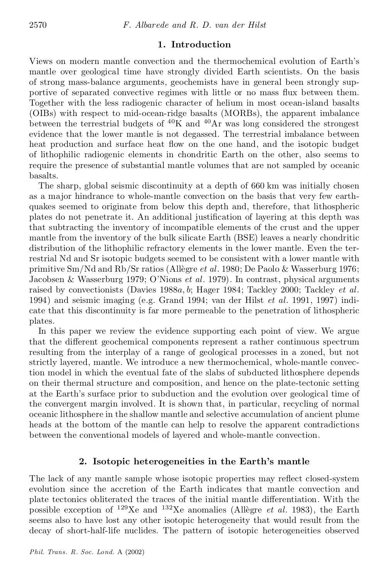# 1. Introduction

Views on modern mantle convection and the thermochemical evolution of Earth's mantle over geological time have strongly divided Earth scientists. On the basis of strong mass-balance arguments, geochemists have in general been strongly sup portive of separated convective regimes with little or no mass flux between them. Together with the less radiogenic character of helium in most ocean-island basalts (OIBs) with respect to mid-ocean-ridge basalts (MORBs), the apparent imbalance between the terrestrial budgets of <sup>40</sup>K and <sup>40</sup>Ar was long considered the strongest evidence that the lower mantle is not degassed. The terrestrial imbalance between heat production and surface heat flow on the one hand, and the isotopic budget of lithophilic radiogenic elements in chondritic Earth on the other, also seems to require the presence of substantial mantle volumes that are not sampled by oceanic basalts.

The sharp, global seismic discontinuity at a depth of 660 km was initially chosen as a major hindrance to whole-mantle convection on the basis that very few earth quakes seemed to originate from below this depth and, therefore, that lithospheric plates do not penetrate it. An additional justification of layering at this depth was that subtracting the inventory of incompatible elements of the crust and the upper mantle from the inventory of the bulk silicate Earth (BSE) leaves a nearly chondritic distribution of the lithophilic refractory elements in the lower mantle. Even the ter restrial Nd and Sr isotopic budgets seemed to be consistent with a lower mantle with primitive Sm/Nd and Rb/Sr ratios (All³egre *et al*. 1980; De Paolo & Wasserburg 1976; Jacobsen & Wasserburg 1979; O'Nions *et al*. 1979). In contrast, physical arguments raised by convectionists (Davies 1988a; b; Hager 1984; Tackley 2000; Tackley *et al*. 1994) and seismic imaging (e.g. Grand 1994; van der Hilst *et al*. 1991, 1997) indi cate that this discontinuity is far more permeable to the penetration of lithospheric plates.

In this paper we review the evidence supporting each point of view. We argue that the different geochemical components represent a rather continuous spectrum resulting from the interplay of a range of geological processes in a zoned, but not strictly layered, mantle. We introduce a new thermochemical, whole-mantle convec tion model in which the eventual fate of the slabs of subducted lithosphere depends on their thermal structure and composition, and hence on the plate-tectonic setting at the Earth's surface prior to subduction and the evolution over geological time of the convergent margin involved. It is shown that, in particular, recycling of normal oceanic lithosphere in the shallow mantle and selective accumulation of ancient plume heads at the bottom of the mantle can help to resolve the apparent contradictions between the conventional models of layered and whole-mantle convection.

### 2. Isotopic heterogeneities in the Earth's mantle

The lack of any mantle sample whose isotopic properties may reflect closed-system evolution since the accretion of the Earth indicates that mantle convection and plate tectonics obliterated the traces of the initial mantle differentiation. With the possible exception of  $129Xe$  and  $132Xe$  anomalies (Allègre *et al.* 1983), the Earth seems also to have lost any other isotopic heterogeneity that would result from the decay of short-half-life nuclides. The pattern of isotopic heterogeneities observed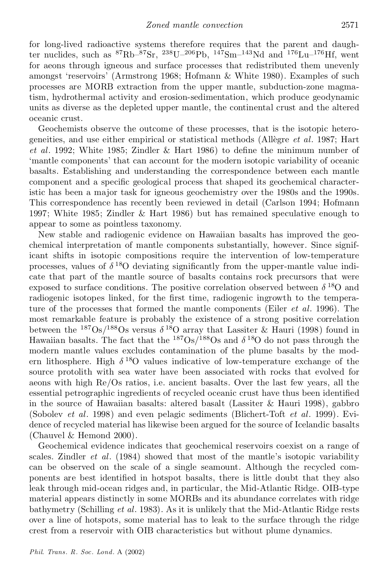for long-lived radioactive systems therefore requires that the parent and daugh ter nuclides, such as  ${}^{87}Rb-{}^{87}Sr$ ,  ${}^{238}U-{}^{206}Pb$ ,  ${}^{147}Sm-{}^{143}Nd$  and  ${}^{176}Lu-{}^{176}Hf$ , went for aeons through igneous and surface processes that redistributed them unevenly amongst `reservoirs' (Armstrong 1968; Hofmann & White 1980). Examples of such processes are MORB extraction from the upper mantle, subduction-zone magma tism, hydrothermal activity and erosion-sedimentation, which produce geodynamic units as diverse as the depleted upper mantle, the continental crust and the altered oceanic crust.

Geochemists observe the outcome of these processes, that is the isotopic hetero geneities, and use either empirical or statistical methods (All³egre *et al*. 1987; Hart *et al.* 1992; White 1985; Zindler & Hart 1986) to define the minimum number of `mantle components' that can account for the modern isotopic variability of oceanic basalts. Establishing and understanding the correspondence between each mantle component and a specific geological process that shaped its geochemical characteristic has been a major task for igneous geochemistry over the 1980s and the 1990s. This correspondence has recently been reviewed in detail (Carlson 1994; Hofmann 1997; White 1985; Zindler & Hart 1986) but has remained speculative enough to appear to some as pointless taxonomy.

New stable and radiogenic evidence on Hawaiian basalts has improved the geo chemical interpretation of mantle components substantially, however. Since significant shifts in isotopic compositions require the intervention of low-temperature processes, values of  $\delta^{18}$ O deviating significantly from the upper-mantle value indicate that part of the mantle source of basalts contains rock precursors that were exposed to surface conditions. The positive correlation observed between  $\delta^{18}$ O and radiogenic isotopes linked, for the first time, radiogenic ingrowth to the temperature of the processes that formed the mantle components (Eiler *et al*. 1996). The most remarkable feature is probably the existence of a strong positive correlation between the <sup>187</sup>Os/<sup>188</sup>Os versus  $\delta^{18}$ O array that Lassiter & Hauri (1998) found in Hawaiian basalts. The fact that the  $^{187}Os/^{188}Os$  and  $\delta^{18}O$  do not pass through the modern mantle values excludes contamination of the plume basalts by the mod ern lithosphere. High  $\delta^{18}$ O values indicative of low-temperature exchange of the source protolith with sea water have been associated with rocks that evolved for aeons with high Re/Os ratios, i.e. ancient basalts. Over the last few years, all the essential petrographic ingredients of recycled oceanic crust have thus been identified in the source of Hawaiian basalts: altered basalt (Lassiter & Hauri 1998), gabbro (Sobolev *et al*. 1998) and even pelagic sediments (Blichert-Toft *et al*. 1999). Evi dence of recycled material has likewise been argued for the source of Icelandic basalts (Chauvel & Hemond 2000).

Geochemical evidence indicates that geochemical reservoirs coexist on a range of scales. Zindler *et al*. (1984) showed that most of the mantle's isotopic variability can be observed on the scale of a single seamount. Although the recycled com ponents are best identified in hotspot basalts, there is little doubt that they also leak through mid-ocean ridges and, in particular, the Mid-Atlantic Ridge. OIB-type material appears distinctly in some MORBs and its abundance correlates with ridge bathymetry (Schilling *et al*. 1983). As it is unlikely that the Mid-Atlantic Ridge rests over a line of hotspots, some material has to leak to the surface through the ridge crest from a reservoir with OIB characteristics but without plume dynamics.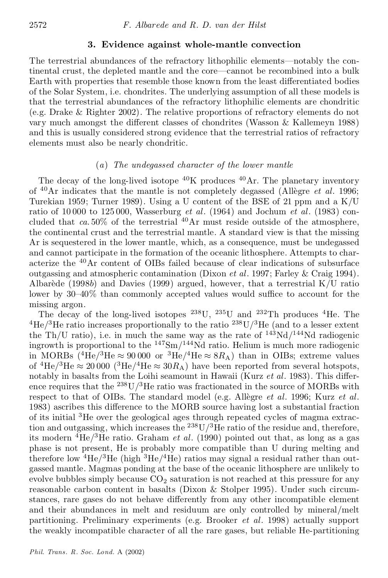#### 3. Evidence against whole-mantle convection

The terrestrial abundances of the refractory lithophilic elements—notably the continental crust, the depleted mantle and the core—cannot be recombined into a bulk Earth with properties that resemble those known from the least differentiated bodies of the Solar System, i.e. chondrites. The underlying assumption of all these models is that the terrestrial abundances of the refractory lithophilic elements are chondritic (e.g. Drake & Righter 2002). The relative proportions of refractory elements do not vary much amongst the different classes of chondrites (Wasson  $\&$  Kallemeyn 1988) and this is usually considered strong evidence that the terrestrial ratios of refractory elements must also be nearly chondritic.

#### (*a*) *The undegassed character of the lower mantle*

The decay of the long-lived isotope  ${}^{40}K$  produces  ${}^{40}Ar$ . The planetary inventory of <sup>40</sup>Ar indicates that the mantle is not completely degassed (Allègre *et al.* 1996; Turekian 1959; Turner 1989). Using a U content of the BSE of 21 ppm and a  $K/U$ ratio of 10 000 to 125 000, Wasserburg *et al*. (1964) and Jochum *et al*. (1983) con cluded that  $ca. 50\%$  of the terrestrial  $40Ar$  must reside outside of the atmosphere, the continental crust and the terrestrial mantle. A standard view is that the missing Ar is sequestered in the lower mantle, which, as a consequence, must be undegassed and cannot participate in the formation of the oceanic lithosphere. Attempts to char acterize the <sup>40</sup>Ar content of OIBs failed because of clear indications of subsurface outgassing and atmospheric contamination (Dixon *et al*. 1997; Farley & Craig 1994). Albarède (1998b) and Davies (1999) argued, however, that a terrestrial  $K/U$  ratio lower by  $30{-}40\%$  than commonly accepted values would suffice to account for the missing argon.

The decay of the long-lived isotopes <sup>238</sup>U, <sup>235</sup>U and <sup>232</sup>Th produces <sup>4</sup>He. The  ${}^{4}\text{He}/{}^{3}\text{He}$  ratio increases proportionally to the ratio  ${}^{238}\text{U}/{}^{3}\text{He}$  (and to a lesser extent the Th/U ratio), i.e. in much the same way as the rate of  $143Nd/144Nd$  radiogenic ingrowth is proportional to the <sup>147</sup>Sm/<sup>144</sup>Nd ratio. Helium is much more radiogenic in MORBs (<sup>4</sup>He/<sup>3</sup>He  $\approx$  90 000 or <sup>3</sup>He/<sup>4</sup>He  $\approx$  8R<sub>A</sub>) than in OIBs; extreme values of <sup>4</sup>He/<sup>3</sup>He  $\approx 20000$  (<sup>3</sup>He/<sup>4</sup>He  $\approx 30R_A$ ) have been reported from several hotspots, notably in basalts from the Loihi seamount in Hawaii (Kurz *et al.* 1983). This difference requires that the <sup>238</sup>U/<sup>3</sup>He ratio was fractionated in the source of MORBs with respect to that of OIBs. The standard model (e.g. All³egre *et al*. 1996; Kurz *et al*. 1983) ascribes this difference to the MORB source having lost a substantial fraction of its initial <sup>3</sup>He over the geological ages through repeated cycles of magma extrac tion and outgassing, which increases the  $^{238}$ U/<sup>3</sup>He ratio of the residue and, therefore, its modern <sup>4</sup>He/<sup>3</sup>He ratio. Graham *et al*. (1990) pointed out that, as long as a gas phase is not present, He is probably more compatible than U during melting and therefore low  ${}^{4}He/{}^{3}He$  (high  ${}^{3}He/{}^{4}He$ ) ratios may signal a residual rather than outgassed mantle. Magmas ponding at the base of the oceanic lithosphere are unlikely to evolve bubbles simply because  $CO<sub>2</sub>$  saturation is not reached at this pressure for any reasonable carbon content in basalts (Dixon & Stolper 1995). Under such circum stances, rare gases do not behave differently from any other incompatible element and their abundances in melt and residuum are only controlled by mineral/melt partitioning. Preliminary experiments (e.g. Brooker *et al*. 1998) actually support the weakly incompatible character of all the rare gases, but reliable He-partitioning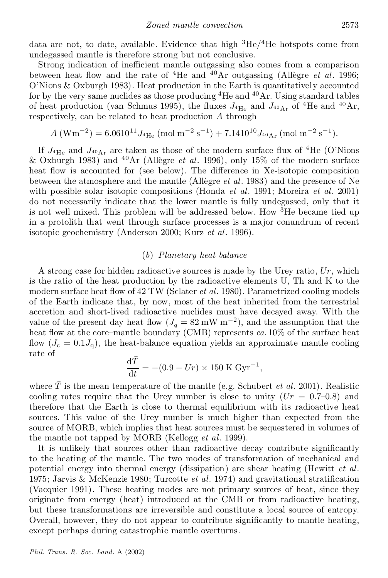Strong indication of inefficient mantle outgassing also comes from a comparison between heat flow and the rate of  ${}^{4}$ He and  ${}^{40}$ Ar outgassing (Allègre *et al.* 1996; O'Nions & Oxburgh 1983). Heat production in the Earth is quantitatively accounted for by the very same nuclides as those producing  ${}^{4}$ He and  ${}^{40}$ Ar. Using standard tables of heat production (van Schmus 1995), the fluxes  $J_{^4\text{He}}$  and  $J_{^{40}\text{Ar}}$  of  $^{4}\text{He}$  and  $^{40}\text{Ar}$ , respectively, can be related to heat production A through

$$
A\left(\text{Wm}^{-2}\right) = 6.0610^{11} J_{\rm ^4He} \left(\text{mol m}^{-2} \text{ s}^{-1}\right) + 7.1410^{10} J_{\rm ^{40}Ar} \left(\text{mol m}^{-2} \text{ s}^{-1}\right).
$$

If  $J_{^{4}\text{He}}$  and  $J_{^{40}\text{Ar}}$  are taken as those of the modern surface flux of <sup>4</sup>He (O'Nions & Oxburgh 1983) and <sup>40</sup>Ar (Allègre *et al.* 1996), only 15% of the modern surface heat flow is accounted for (see below). The difference in Xe-isotopic composition between the atmosphere and the mantle (All³egre *et al*. 1983) and the presence of Ne with possible solar isotopic compositions (Honda *et al*. 1991; Moreira *et al*. 2001) do not necessarily indicate that the lower mantle is fully undegassed, only that it is not well mixed. This problem will be addressed below. How <sup>3</sup>He became tied up in a protolith that went through surface processes is a major conundrum of recent isotopic geochemistry (Anderson 2000; Kurz *et al*. 1996).

#### (*b*) *Planetary heat balance*

A strong case for hidden radioactive sources is made by the Urey ratio,  $Ur$ , which is the ratio of the heat production by the radioactive elements U, Th and K to the modern surface heat flow of 42 TW (Sclater *et al.* 1980). Parametrized cooling models of the Earth indicate that, by now, most of the heat inherited from the terrestrial accretion and short-lived radioactive nuclides must have decayed away. With the value of the present day heat flow  $(J_q = 82 \text{ mW m}^{-2})$ , and the assumption that the heat flow at the core-mantle boundary (CMB) represents  $ca. 10\%$  of the surface heat flow  $(J_c = 0.1 J_a)$ , the heat-balance equation yields an approximate mantle cooling rate of

$$
\frac{\mathrm{d}\bar{T}}{\mathrm{d}t} = -(0.9 - Ur) \times 150 \text{ K Gyr}^{-1},
$$

where  $T$  is the mean temperature of the mantle (e.g. Schubert *et al.* 2001). Realistic cooling rates require that the Urey number is close to unity  $(Ur = 0.7{\text -}0.8)$  and therefore that the Earth is close to thermal equilibrium with its radioactive heat sources. This value of the Urey number is much higher than expected from the source of MORB, which implies that heat sources must be sequestered in volumes of the mantle not tapped by MORB (Kellogg *et al*. 1999).

It is unlikely that sources other than radioactive decay contribute significantly to the heating of the mantle. The two modes of transformation of mechanical and potential energy into thermal energy (dissipation) are shear heating (Hewitt *et al*. 1975; Jarvis & McKenzie 1980; Turcotte *et al.* 1974) and gravitational stratification (Vacquier 1991). These heating modes are not primary sources of heat, since they originate from energy (heat) introduced at the CMB or from radioactive heating, but these transformations are irreversible and constitute a local source of entropy. Overall, however, they do not appear to contribute significantly to mantle heating, except perhaps during catastrophic mantle overturns.

*Phil. Trans. R . Soc. Lond.* <sup>A</sup> (2002)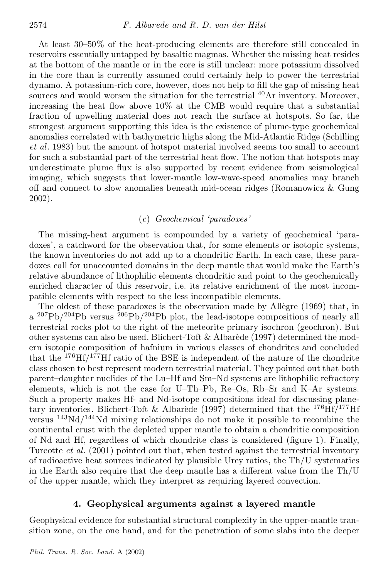At least  $30{\text -}50\%$  of the heat-producing elements are therefore still concealed in reservoirs essentially untapped by basaltic magmas. Whether the missing heat resides at the bottom of the mantle or in the core is still unclear: more potassium dissolved in the core than is currently assumed could certainly help to power the terrestrial dynamo. A potassium-rich core, however, does not help to fill the gap of missing heat sources and would worsen the situation for the terrestrial  ${}^{40}Ar$  inventory. Moreover, increasing the heat flow above  $10\%$  at the CMB would require that a substantial fraction of upwelling material does not reach the surface at hotspots. So far, the strongest argument supporting this idea is the existence of plume-type geochemical anomalies correlated with bathymetric highs along the Mid-Atlantic Ridge (Schilling *et al*. 1983) but the amount of hotspot material involved seems too small to account for such a substantial part of the terrestrial heat flow. The notion that hotspots may underestimate plume flux is also supported by recent evidence from seismological imaging, which suggests that lower-mantle low-wave-speed anomalies may branch off and connect to slow anomalies beneath mid-ocean ridges (Romanowicz  $\&$  Gung 2002).

#### (*c*) *Geochemical `paradoxes'*

The missing-heat argument is compounded by a variety of geochemical `para doxes', a catchword for the observation that, for some elements or isotopic systems, the known inventories do not add up to a chondritic Earth. In each case, these para doxes call for unaccounted domains in the deep mantle that would make the Earth's relative abundance of lithophilic elements chondritic and point to the geochemically enriched character of this reservoir, i.e. its relative enrichment of the most incom patible elements with respect to the less incompatible elements.

The oldest of these paradoxes is the observation made by Allegre (1969) that, in a <sup>207</sup>Pb/<sup>204</sup>Pb versus <sup>206</sup>Pb/<sup>204</sup>Pb plot, the lead-isotope compositions of nearly all terrestrial rocks plot to the right of the meteorite primary isochron (geochron). But other systems can also be used. Blichert-Toft  $\&$  Albarède (1997) determined the modern isotopic composition of hafnium in various classes of chondrites and concluded that the  $176$ Hf/ $177$ Hf ratio of the BSE is independent of the nature of the chondrite class chosen to best represent modern terrestrial material. They pointed out that both parent-daughter nuclides of the Lu–Hf and Sm–Nd systems are lithophilic refractory elements, which is not the case for U-Th-Pb, Re-Os, Rb-Sr and K-Ar systems. Such a property makes Hf- and Nd-isotope compositions ideal for discussing plane tary inventories. Blichert-Toft & Albarède (1997) determined that the  $^{176}Hf/^{177}Hf$ versus  $143Nd/144Nd$  mixing relationships do not make it possible to recombine the continental crust with the depleted upper mantle to obtain a chondritic composition of Nd and Hf, regardless of which chondrite class is considered (figure 1). Finally, Turcotte *et al*. (2001) pointed out that, when tested against the terrestrial inventory of radioactive heat sources indicated by plausible Urey ratios, the Th/U systematics in the Earth also require that the deep mantle has a different value from the  $Th/U$ of the upper mantle, which they interpret as requiring layered convection.

#### 4. Geophysical arguments against a layered mantle

Geophysical evidence for substantial structural complexity in the upper-mantle tran sition zone, on the one hand, and for the penetration of some slabs into the deeper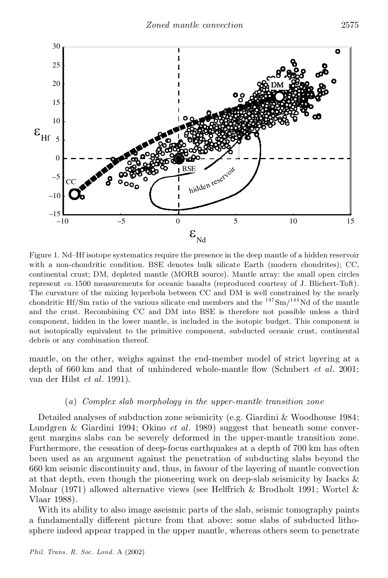

Figure 1. Nd–Hf isotope systematics require the presence in the deep mantle of a hidden reservoir with a non-chondritic condition. BSE denotes bulk silicate Earth (modern chondrites); CC, continental crust; DM, depleted mantle (MORB source). Mantle array: the small open circles represent *ca*. 1500 measurements for oceanic basalts (reproduced courtesy of J. Blichert-Toft). The curvature of the mixing hyperbola between CC and DM is well constrained by the nearly chondritic Hf/Sm ratio of the various silicate end members and the  $^{147}Sm/^{144}Nd$  of the mantle and the crust. Recombining CC and DM into BSE is therefore not possible unless a third component, hidden in the lower mantle, is included in the isotopic budget. This component is not isotopically equivalent to the primitive component, subducted oceanic crust, continental debris or any combination thereof.

mantle, on the other, weighs against the end-member model of strict layering at a depth of 660 km and that of unhindered whole-mantle flow (Schubert *et al.* 2001; van der Hilst *et al*. 1991).

#### (*a*) *Complex slab morphology in the upper-mantle transition zone*

Detailed analyses of subduction zone seismicity (e.g. Giardini & Woodhouse 1984; Lundgren & Giardini 1994; Okino *et al*. 1989) suggest that beneath some conver gent margins slabs can be severely deformed in the upper-mantle transition zone. Furthermore, the cessation of deep-focus earthquakes at a depth of 700 km has often been used as an argument against the penetration of subducting slabs beyond the 660 km seismic discontinuity and, thus, in favour of the layering of mantle convection at that depth, even though the pioneering work on deep-slab seismicity by Isacks  $\&$ Molnar (1971) allowed alternative views (see Helffrich & Brodholt 1991; Wortel & Vlaar 1988).

With its ability to also image assigmic parts of the slab, seismic tomography paints a fundamentally different picture from that above: some slabs of subducted lithosphere indeed appear trapped in the upper mantle, whereas others seem to penetrate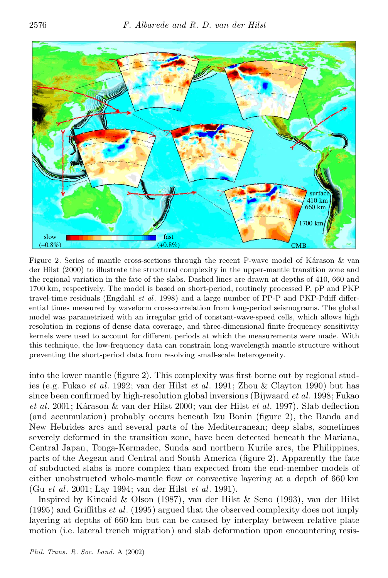

Figure 2. Series of mantle cross-sections through the recent P-wave model of Karason & van der Hilst (2000) to illustrate the structural complexity in the upper-mantle transition zone and the regional variation in the fate of the slabs. Dashed lines are drawn at depths of 410, 660 and 1700 km, respectively. The model is based on short-period, routinely processed P, pP and PKP travel-time residuals (Engdahl *et al.* 1998) and a large number of PP-P and PKP-Pdiff differential times measured by waveform cross-correlation from long-period seismograms. The global model was parametrized with an irregular grid of constant-wave-speed cells, which allows high resolution in regions of dense data coverage, and three-dimensional finite frequency sensitivity kernels were used to account for different periods at which the measurements were made. With this technique, the low-frequency data can constrain long-wavelength mantle structure without preventing the short-period data from resolving small-scale heterogeneity.

into the lower mantle (figure 2). This complexity was first borne out by regional studies (e.g. Fukao *et al*. 1992; van der Hilst *et al*. 1991; Zhou & Clayton 1990) but has since been confirmed by high-resolution global inversions (Bijwaard *et al.* 1998; Fukao *et al*. 2001; K´arason & van der Hilst 2000; van der Hilst *et al*. 1997). Slab de®ection (and accumulation) probably occurs beneath Izu Bonin (figure 2), the Banda and New Hebrides arcs and several parts of the Mediterranean; deep slabs, sometimes severely deformed in the transition zone, have been detected beneath the Mariana, Central Japan, Tonga-Kermadec, Sunda and northern Kurile arcs, the Philippines, parts of the Aegean and Central and South America (figure 2). Apparently the fate of subducted slabs is more complex than expected from the end-member models of either unobstructed whole-mantle flow or convective layering at a depth of 660 km (Gu *et al*. 2001; Lay 1994; van der Hilst *et al*. 1991).

Inspired by Kincaid & Olson (1987), van der Hilst & Seno (1993), van der Hilst  $(1995)$  and Griffiths *et al.*  $(1995)$  argued that the observed complexity does not imply layering at depths of 660 km but can be caused by interplay between relative plate motion (i.e. lateral trench migration) and slab deformation upon encountering resis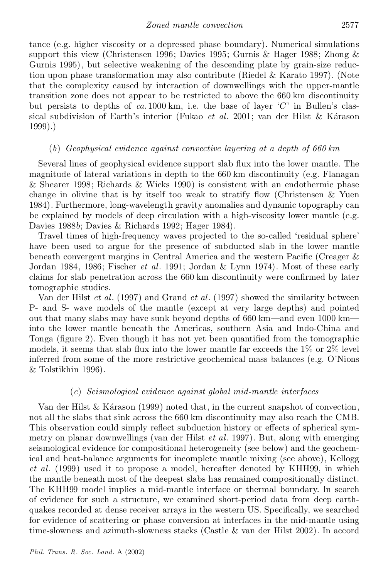tance (e.g. higher viscosity or a depressed phase boundary). Numerical simulations support this view (Christensen 1996; Davies 1995; Gurnis & Hager 1988; Zhong & Gurnis 1995), but selective weakening of the descending plate by grain-size reduc tion upon phase transformation may also contribute (Riedel & Karato 1997). (Note that the complexity caused by interaction of downwellings with the upper-mantle transition zone does not appear to be restricted to above the 660 km discontinuity but persists to depths of  $ca. 1000 \text{ km}$ , i.e. the base of layer  $'C'$  in Bullen's classical subdivision of Earth's interior (Fukao *et al*. 2001; van der Hilst & K´arason 1999).)

#### (*b*) *Geophysical evidence against convective layering at a depth of 660 km*

Several lines of geophysical evidence support slab flux into the lower mantle. The magnitude of lateral variations in depth to the 660 km discontinuity (e.g. Flanagan & Shearer 1998; Richards & Wicks 1990) is consistent with an endothermic phase change in olivine that is by itself too weak to stratify flow (Christensen  $\&$  Yuen 1984). Furthermore, long-wavelength gravity anomalies and dynamic topography can be explained by models of deep circulation with a high-viscosity lower mantle (e.g. Davies 1988b; Davies & Richards 1992; Hager 1984).

Travel times of high-frequency waves projected to the so-called `residual sphere' have been used to argue for the presence of subducted slab in the lower mantle beneath convergent margins in Central America and the western Pacific (Creager  $\&$ Jordan 1984, 1986; Fischer *et al*. 1991; Jordan & Lynn 1974). Most of these early claims for slab penetration across the 660 km discontinuity were confirmed by later tomographic studies.

Van der Hilst *et al*. (1997) and Grand *et al*. (1997) showed the similarity between P- and S- wave models of the mantle (except at very large depths) and pointed out that many slabs may have sunk beyond depths of  $660 \text{ km}$ —and even 1000 km into the lower mantle beneath the Americas, southern Asia and Indo-China and Tonga (figure 2). Even though it has not yet been quantified from the tomographic models, it seems that slab flux into the lower mantle far exceeds the  $1\%$  or  $2\%$  level inferred from some of the more restrictive geochemical mass balances (e.g. O'Nions & Tolstikhin 1996).

#### (*c*) *Seismological evidence against global mid-mantle interfaces*

Van der Hilst  $\&$  Kárason (1999) noted that, in the current snapshot of convection, not all the slabs that sink across the 660 km discontinuity may also reach the CMB. This observation could simply reflect subduction history or effects of spherical symmetry on planar downwellings (van der Hilst *et al*. 1997). But, along with emerging seismological evidence for compositional heterogeneity (see below) and the geochemical and heat-balance arguments for incomplete mantle mixing (see above), Kellogg *et al*. (1999) used it to propose a model, hereafter denoted by KHH99, in which the mantle beneath most of the deepest slabs has remained compositionally distinct. The KHH99 model implies a mid-mantle interface or thermal boundary. In search of evidence for such a structure, we examined short-period data from deep earth quakes recorded at dense receiver arrays in the western US. Specifically, we searched for evidence of scattering or phase conversion at interfaces in the mid-mantle using time-slowness and azimuth-slowness stacks (Castle & van der Hilst 2002). In accord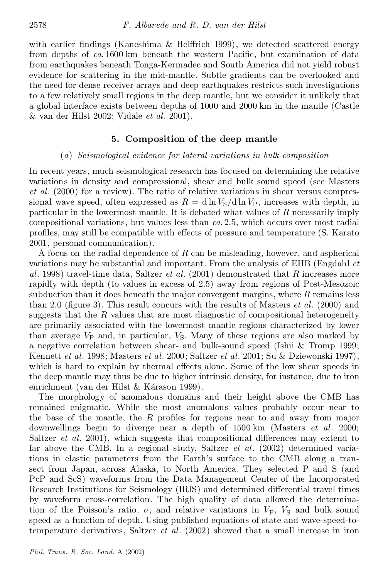with earlier findings (Kaneshima & Helffrich 1999), we detected scattered energy from depths of *ca*. 1600 km beneath the western Pacific, but examination of data from earthquakes beneath Tonga-Kermadec and South America did not yield robust evidence for scattering in the mid-mantle. Subtle gradients can be overlooked and the need for dense receiver arrays and deep earthquakes restricts such investigations to a few relatively small regions in the deep mantle, but we consider it unlikely that a global interface exists between depths of 1000 and 2000 km in the mantle (Castle & van der Hilst 2002; Vidale *et al*. 2001).

#### 5. Composition of the deep mantle

#### (*a*) *Seismological evidence for lateral variations in bulk composition*

In recent years, much seismological research has focused on determining the relative variations in density and compressional, shear and bulk sound speed (see Masters *et al*. (2000) for a review). The ratio of relative variations in shear versus compres sional wave speed, often expressed as  $R = d \ln V_S / d \ln V_P$ , increases with depth, in particular in the lowermost mantle. It is debated what values of R necessarily imply compositional variations, but values less than *ca*. 2.5, which occurs over most radial profiles, may still be compatible with effects of pressure and temperature (S. Karato 2001, personal communication).

A focus on the radial dependence of R can be misleading, however, and aspherical variations may be substantial and important. From the analysis of EHB (Engdahl *et al*. 1998) travel-time data, Saltzer *et al*. (2001) demonstrated that R increases more rapidly with depth (to values in excess of 2.5) away from regions of Post-Mesozoic subduction than it does beneath the major convergent margins, where  $R$  remains less than 2.0 (figure 3). This result concurs with the results of Masters *et al.* (2000) and suggests that the  $R$  values that are most diagnostic of compositional heterogeneity are primarily associated with the lowermost mantle regions characterized by lower than average  $V_P$  and, in particular,  $V_S$ . Many of these regions are also marked by a negative correlation between shear- and bulk-sound speed (Ishii & Tromp 1999; Kennett *et al*. 1998; Masters *et al*. 2000; Saltzer *et al*. 2001; Su & Dziewonski 1997), which is hard to explain by thermal effects alone. Some of the low shear speeds in the deep mantle may thus be due to higher intrinsic density, for instance, due to iron enrichment (van der Hilst & Kárason 1999).

The morphology of anomalous domains and their height above the CMB has remained enigmatic. While the most anomalous values probably occur near to the base of the mantle, the  $R$  profiles for regions near to and away from major downwellings begin to diverge near a depth of 1500 km (Masters *et al*. 2000; Saltzer *et al.* 2001), which suggests that compositional differences may extend to far above the CMB. In a regional study, Saltzer *et al*. (2002) determined varia tions in elastic parameters from the Earth's surface to the CMB along a tran sect from Japan, across Alaska, to North America. They selected P and S (and PcP and ScS) waveforms from the Data Management Center of the Incorporated Research Institutions for Seismology (IRIS) and determined differential travel times by waveform cross-correlation. The high quality of data allowed the determina tion of the Poisson's ratio,  $\sigma$ , and relative variations in  $V_P$ ,  $V_S$  and bulk sound speed as a function of depth. Using published equations of state and wave-speed-to temperature derivatives, Saltzer *et al*. (2002) showed that a small increase in iron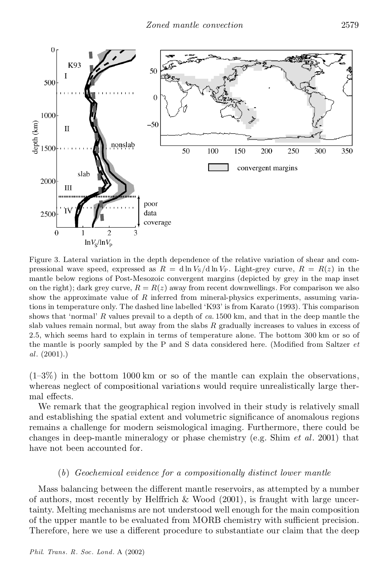

Figure 3. Lateral variation in the depth dependence of the relative variation of shear and com pressional wave speed, expressed as  $R = d \ln V<sub>S</sub>/d \ln V<sub>P</sub>$ . Light-grey curve,  $R = R(z)$  in the mantle below regions of Post-Mesozoic convergent margins (depicted by grey in the map inset on the right); dark grey curve,  $R = R(z)$  away from recent downwellings. For comparison we also show the approximate value of  $R$  inferred from mineral-physics experiments, assuming variations in temperature only. The dashed line labelled `K93' is from Karato (1993). This comparison shows that `normal' R values prevail to a depth of *ca*. 1500 km, and that in the deep mantle the slab values remain normal, but away from the slabs  $R$  gradually increases to values in excess of 2.5, which seems hard to explain in terms of temperature alone. The bottom 300 km or so of the mantle is poorly sampled by the P and S data considered here. (Modified from Saltzer *et al*. (2001).)

 $(1-3\%)$  in the bottom 1000 km or so of the mantle can explain the observations, whereas neglect of compositional variations would require unrealistically large ther mal effects.

We remark that the geographical region involved in their study is relatively small and establishing the spatial extent and volumetric significance of anomalous regions remains a challenge for modern seismological imaging. Furthermore, there could be changes in deep-mantle mineralogy or phase chemistry (e.g. Shim *et al*. 2001) that have not been accounted for.

#### (*b*) *Geochemical evidence for a compositionally distinct lower mantle*

Mass balancing between the different mantle reservoirs, as attempted by a number of authors, most recently by Helffrich & Wood  $(2001)$ , is fraught with large uncertainty. Melting mechanisms are not understood well enough for the main composition of the upper mantle to be evaluated from MORB chemistry with sufficient precision. Therefore, here we use a different procedure to substantiate our claim that the deep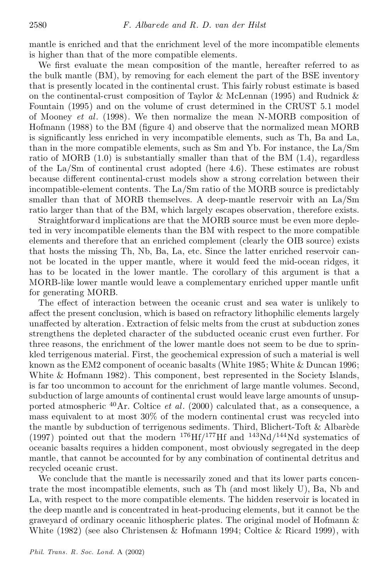mantle is enriched and that the enrichment level of the more incompatible elements is higher than that of the more compatible elements.

We first evaluate the mean composition of the mantle, hereafter referred to as the bulk mantle (BM), by removing for each element the part of the BSE inventory that is presently located in the continental crust. This fairly robust estimate is based on the continental-crust composition of Taylor & McLennan (1995) and Rudnick & Fountain (1995) and on the volume of crust determined in the CRUST 5.1 model of Mooney *et al*. (1998). We then normalize the mean N-MORB composition of Hofmann (1988) to the BM (figure 4) and observe that the normalized mean MORB is significantly less enriched in very incompatible elements, such as Th, Ba and La, than in the more compatible elements, such as Sm and Yb. For instance, the La/Sm ratio of MORB  $(1.0)$  is substantially smaller than that of the BM  $(1.4)$ , regardless of the La/Sm of continental crust adopted (here 4.6). These estimates are robust because different continental-crust models show a strong correlation between their incompatible-element contents. The La/Sm ratio of the MORB source is predictably smaller than that of MORB themselves. A deep-mantle reservoir with an La/Sm ratio larger than that of the BM, which largely escapes observation, therefore exists.

Straightforward implications are that the MORB source must be even more deple ted in very incompatible elements than the BM with respect to the more compatible elements and therefore that an enriched complement (clearly the OIB source) exists that hosts the missing Th, Nb, Ba, La, etc. Since the latter enriched reservoir can not be located in the upper mantle, where it would feed the mid-ocean ridges, it has to be located in the lower mantle. The corollary of this argument is that a MORB-like lower mantle would leave a complementary enriched upper mantle unfit for generating MORB.

The effect of interaction between the oceanic crust and sea water is unlikely to affect the present conclusion, which is based on refractory lithophilic elements largely unaffected by alteration. Extraction of felsic melts from the crust at subduction zones strengthens the depleted character of the subducted oceanic crust even further. For three reasons, the enrichment of the lower mantle does not seem to be due to sprin kled terrigenous material. First, the geochemical expression of such a material is well known as the EM2 component of oceanic basalts (White 1985; White & Duncan 1996; White & Hofmann 1982). This component, best represented in the Society Islands, is far too uncommon to account for the enrichment of large mantle volumes. Second, subduction of large amounts of continental crust would leave large amounts of unsup ported atmospheric <sup>40</sup>Ar. Coltice *et al*. (2000) calculated that, as a consequence, a mass equivalent to at most 30% of the modern continental crust was recycled into the mantle by subduction of terrigenous sediments. Third, Blichert-Toft  $\&$  Albarède (1997) pointed out that the modern  $^{176}Hf/^{177}Hf$  and  $^{143}Nd/^{144}Nd$  systematics of oceanic basalts requires a hidden component, most obviously segregated in the deep mantle, that cannot be accounted for by any combination of continental detritus and recycled oceanic crust.

We conclude that the mantle is necessarily zoned and that its lower parts concen trate the most incompatible elements, such as Th (and most likely U), Ba, Nb and La, with respect to the more compatible elements. The hidden reservoir is located in the deep mantle and is concentrated in heat-producing elements, but it cannot be the graveyard of ordinary oceanic lithospheric plates. The original model of Hofmann & White (1982) (see also Christensen & Hofmann 1994; Coltice & Ricard 1999), with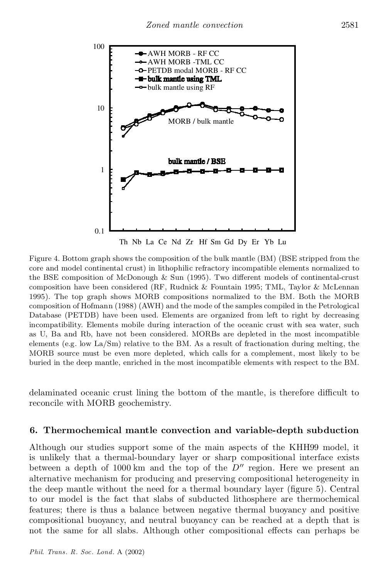

Figure 4. Bottom graph shows the composition of the bulk mantle (BM) (BSE stripped from the core and model continental crust) in lithophilic refractory incompatible elements normalized to the BSE composition of McDonough  $\&$  Sun (1995). Two different models of continental-crust composition have been considered (RF, Rudnick & Fountain 1995; TML, Taylor & McLennan 1995). The top graph shows MORB compositions normalized to the BM. Both the MORB composition of Hofmann (1988) (AWH) and the mode of the samples compiled in the Petrological Database (PETDB) have been used. Elements are organized from left to right by decreasing incompatibility. Elements mobile during interaction of the oceanic crust with sea water, such as U, Ba and Rb, have not been considered. MORBs are depleted in the most incompatible elements (e.g. low  $La/Sm$ ) relative to the BM. As a result of fractionation during melting, the MORB source must be even more depleted, which calls for a complement, most likely to be buried in the deep mantle, enriched in the most incompatible elements with respect to the BM.

delaminated oceanic crust lining the bottom of the mantle, is therefore difficult to reconcile with MORB geochemistry.

#### 6. Thermochemical mantle convection and variable-depth subduction

Although our studies support some of the main aspects of the KHH99 model, it is unlikely that a thermal-boundary layer or sharp compositional interface exists between a depth of 1000 km and the top of the  $D''$  region. Here we present an alternative mechanism for producing and preserving compositional heterogeneity in the deep mantle without the need for a thermal boundary layer (figure 5). Central to our model is the fact that slabs of subducted lithosphere are thermochemical features; there is thus a balance between negative thermal buoyancy and positive compositional buoyancy, and neutral buoyancy can be reached at a depth that is not the same for all slabs. Although other compositional effects can perhaps be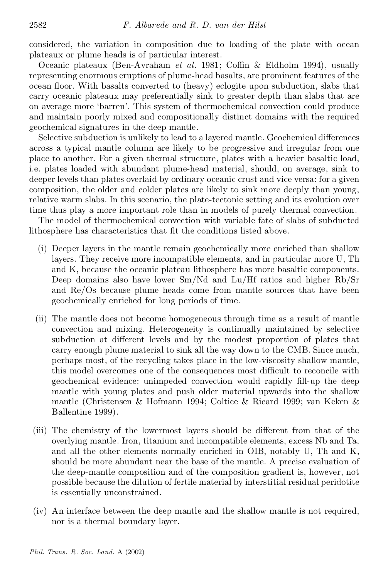considered, the variation in composition due to loading of the plate with ocean plateaux or plume heads is of particular interest.

Oceanic plateaux (Ben-Avraham *et al.* 1981; Coffin & Eldholm 1994), usually representing enormous eruptions of plume-head basalts, are prominent features of the ocean floor. With basalts converted to (heavy) eclogite upon subduction, slabs that carry oceanic plateaux may preferentially sink to greater depth than slabs that are on average more `barren'. This system of thermochemical convection could produce and maintain poorly mixed and compositionally distinct domains with the required geochemical signatures in the deep mantle.

Selective subduction is unlikely to lead to a layered mantle. Geochemical differences across a typical mantle column are likely to be progressive and irregular from one place to another. For a given thermal structure, plates with a heavier basaltic load, i.e. plates loaded with abundant plume-head material, should, on average, sink to deeper levels than plates overlaid by ordinary oceanic crust and vice versa: for a given composition, the older and colder plates are likely to sink more deeply than young, relative warm slabs. In this scenario, the plate-tectonic setting and its evolution over time thus play a more important role than in models of purely thermal convection.

The model of thermochemical convection with variable fate of slabs of subducted lithosphere has characteristics that fit the conditions listed above.

- (i) Deeper layers in the mantle remain geochemically more enriched than shallow layers. They receive more incompatible elements, and in particular more U, Th and K, because the oceanic plateau lithosphere has more basaltic components. Deep domains also have lower Sm/Nd and Lu/Hf ratios and higher Rb/Sr and Re/Os because plume heads come from mantle sources that have been geochemically enriched for long periods of time.
- (ii) The mantle does not become homogeneous through time as a result of mantle convection and mixing. Heterogeneity is continually maintained by selective subduction at different levels and by the modest proportion of plates that carry enough plume material to sink all the way down to the CMB. Since much, perhaps most, of the recycling takes place in the low-viscosity shallow mantle, this model overcomes one of the consequences most difficult to reconcile with geochemical evidence: unimpeded convection would rapidly fill-up the deep mantle with young plates and push older material upwards into the shallow mantle (Christensen & Hofmann 1994; Coltice & Ricard 1999; van Keken & Ballentine 1999).
- (iii) The chemistry of the lowermost layers should be different from that of the overlying mantle. Iron, titanium and incompatible elements, excess Nb and Ta, and all the other elements normally enriched in OIB, notably U, Th and K, should be more abundant near the base of the mantle. A precise evaluation of the deep-mantle composition and of the composition gradient is, however, not possible because the dilution of fertile material by interstitial residual peridotite is essentially unconstrained.
- (iv) An interface between the deep mantle and the shallow mantle is not required, nor is a thermal boundary layer.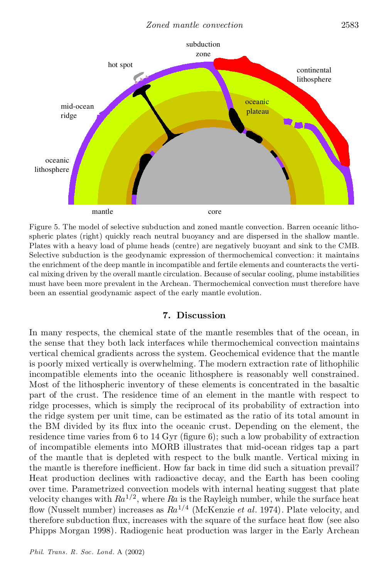

Figure 5. The model of selective subduction and zoned mantle convection. Barren oceanic litho spheric plates (right) quickly reach neutral buoyancy and are dispersed in the shallow mantle. Plates with a heavy load of plume heads (centre) are negatively buoyant and sink to the CMB. Selective subduction is the geodynamic expression of thermochemical convection: it maintains the enrichment of the deep mantle in incompatible and fertile elements and counteracts the verti cal mixing driven by the overall mantle circulation. Because of secular cooling, plume instabilities must have been more prevalent in the Archean. Thermochemical convection must therefore have been an essential geodynamic aspect of the early mantle evolution.

## 7. Discussion

In many respects, the chemical state of the mantle resembles that of the ocean, in the sense that they both lack interfaces while thermochemical convection maintains vertical chemical gradients across the system. Geochemical evidence that the mantle is poorly mixed vertically is overwhelming. The modern extraction rate of lithophilic incompatible elements into the oceanic lithosphere is reasonably well constrained. Most of the lithospheric inventory of these elements is concentrated in the basaltic part of the crust. The residence time of an element in the mantle with respect to ridge processes, which is simply the reciprocal of its probability of extraction into the ridge system per unit time, can be estimated as the ratio of its total amount in the BM divided by its flux into the oceanic crust. Depending on the element, the residence time varies from 6 to 14 Gyr (figure 6); such a low probability of extraction of incompatible elements into MORB illustrates that mid-ocean ridges tap a part of the mantle that is depleted with respect to the bulk mantle. Vertical mixing in the mantle is therefore inefficient. How far back in time did such a situation prevail? Heat production declines with radioactive decay, and the Earth has been cooling over time. Parametrized convection models with internal heating suggest that plate velocity changes with  $Ra^{1/2}$ , where  $Ra$  is the Rayleigh number, while the surface heat flow (Nusselt number) increases as  $Ra^{1/4}$  (McKenzie *et al.* 1974). Plate velocity, and therefore subduction flux, increases with the square of the surface heat flow (see also Phipps Morgan 1998). Radiogenic heat production was larger in the Early Archean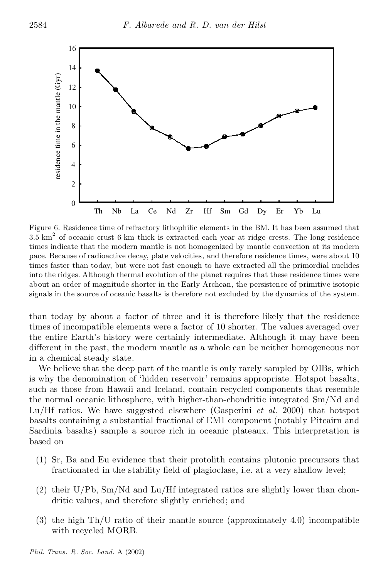

Figure 6. Residence time of refractory lithophilic elements in the BM. It has been assumed that 3.5 km<sup>2</sup> of oceanic crust 6 km thick is extracted each year at ridge crests. The long residence times indicate that the modern mantle is not homogenized by mantle convection at its modern pace. Because of radioactive decay, plate velocities, and therefore residence times, were about 10 times faster than today, but were not fast enough to have extracted all the primordial nuclides into the ridges. Although thermal evolution of the planet requires that these residence times were about an order of magnitude shorter in the Early Archean, the persistence of primitive isotopic signals in the source of oceanic basalts is therefore not excluded by the dynamics of the system.

than today by about a factor of three and it is therefore likely that the residence times of incompatible elements were a factor of 10 shorter. The values averaged over the entire Earth's history were certainly intermediate. Although it may have been different in the past, the modern mantle as a whole can be neither homogeneous nor in a chemical steady state.

We believe that the deep part of the mantle is only rarely sampled by OIBs, which is why the denomination of 'hidden reservoir' remains appropriate. Hotspot basalts, such as those from Hawaii and Iceland, contain recycled components that resemble the normal oceanic lithosphere, with higher-than-chondritic integrated Sm/Nd and Lu/Hf ratios. We have suggested elsewhere (Gasperini *et al*. 2000) that hotspot basalts containing a substantial fractional of EM1 component (notably Pitcairn and Sardinia basalts) sample a source rich in oceanic plateaux. This interpretation is based on

- (1) Sr, Ba and Eu evidence that their protolith contains plutonic precursors that fractionated in the stability field of plagioclase, i.e. at a very shallow level;
- (2) their U/Pb,  $Sm/Md$  and Lu/Hf integrated ratios are slightly lower than chondritic values, and therefore slightly enriched; and
- (3) the high Th/U ratio of their mantle source (approximately 4.0) incompatible with recycled MORB.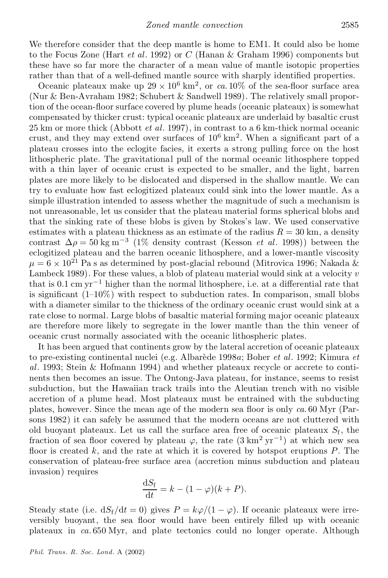We therefore consider that the deep mantle is home to EM1. It could also be home to the Focus Zone (Hart *et al*. 1992) or C (Hanan & Graham 1996) components but these have so far more the character of a mean value of mantle isotopic properties rather than that of a well-defined mantle source with sharply identified properties.

Oceanic plateaux make up  $29 \times 10^6$  km<sup>2</sup>, or *ca*. 10\% of the sea-floor surface area (Nur & Ben-Avraham 1982; Schubert & Sandwell 1989). The relatively small propor tion of the ocean-floor surface covered by plume heads (oceanic plateaux) is somewhat compensated by thicker crust: typical oceanic plateaux are underlaid by basaltic crust 25 km or more thick (Abbott *et al*. 1997), in contrast to a 6 km-thick normal oceanic crust, and they may extend over surfaces of  $10^6 \text{ km}^2$ . When a significant part of a plateau crosses into the eclogite facies, it exerts a strong pulling force on the host lithospheric plate. The gravitational pull of the normal oceanic lithosphere topped with a thin layer of oceanic crust is expected to be smaller, and the light, barren plates are more likely to be dislocated and dispersed in the shallow mantle. We can try to evaluate how fast eclogitized plateaux could sink into the lower mantle. As a simple illustration intended to assess whether the magnitude of such a mechanism is not unreasonable, let us consider that the plateau material forms spherical blobs and that the sinking rate of these blobs is given by Stokes's law. We used conservative estimates with a plateau thickness as an estimate of the radius  $R = 30$  km, a density contrast  $\Delta \rho = 50 \text{ kg m}^{-3}$  (1% density contrast (Kesson *et al.* 1998)) between the eclogitized plateau and the barren oceanic lithosphere, and a lower-mantle viscosity  $\mu = 6 \times 10^{21}$  Pa s as determined by post-glacial rebound (Mitrovica 1996; Nakada & Lambeck 1989). For these values, a blob of plateau material would sink at a velocity v that is 0.1 cm  $yr^{-1}$  higher than the normal lithosphere, i.e. at a differential rate that is significant  $(1-10\%)$  with respect to subduction rates. In comparison, small blobs with a diameter similar to the thickness of the ordinary oceanic crust would sink at a rate close to normal. Large blobs of basaltic material forming major oceanic plateaux are therefore more likely to segregate in the lower mantle than the thin veneer of oceanic crust normally associated with the oceanic lithospheric plates.

It has been argued that continents grow by the lateral accretion of oceanic plateaux to pre-existing continental nuclei (e.g. Albarède 1998a; Boher *et al.* 1992; Kimura *et al*. 1993; Stein & Hofmann 1994) and whether plateaux recycle or accrete to conti nents then becomes an issue. The Ontong-Java plateau, for instance, seems to resist subduction, but the Hawaiian track trails into the Aleutian trench with no visible accretion of a plume head. Most plateaux must be entrained with the subducting plates, however. Since the mean age of the modern sea floor is only *ca*. 60 Myr (Parsons 1982) it can safely be assumed that the modern oceans are not cluttered with old buoyant plateaux. Let us call the surface area free of oceanic plateaux  $S_f$ , the fraction of sea floor covered by plateau  $\varphi$ , the rate  $(3 \text{ km}^2 \text{ yr}^{-1})$  at which new sea floor is created  $k$ , and the rate at which it is covered by hotspot eruptions  $P$ . The conservation of plateau-free surface area (accretion minus subduction and plateau invasion) requires

$$
\frac{\mathrm{d}S_{\mathrm{f}}}{\mathrm{d}t} = k - (1 - \varphi)(k + P).
$$

Steady state (i.e.  $dS_f/dt = 0$ ) gives  $P = k\varphi/(1 - \varphi)$ . If oceanic plateaux were irreversibly buoyant, the sea floor would have been entirely filled up with oceanic plateaux in *ca*. 650 Myr, and plate tectonics could no longer operate. Although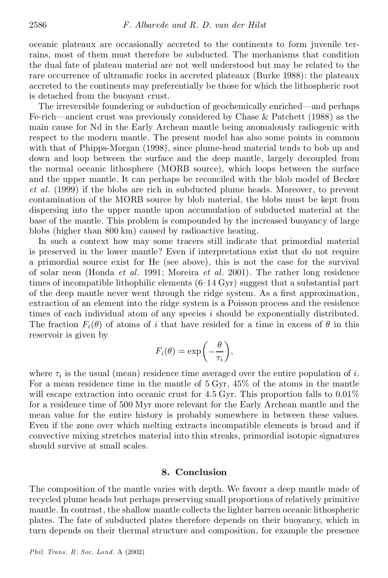oceanic plateaux are occasionally accreted to the continents to form juvenile ter rains, most of them must therefore be subducted. The mechanisms that condition the dual fate of plateau material are not well understood but may be related to the rare occurrence of ultramatic rocks in accreted plateaux (Burke 1988): the plateaux accreted to the continents may preferentially be those for which the lithospheric root is detached from the buoyant crust.

The irreversible foundering or subduction of geochemically enriched—and perhaps Fe-rich—ancient crust was previously considered by Chase & Patchett (1988) as the main cause for Nd in the Early Archean mantle being anomalously radiogenic with respect to the modern mantle. The present model has also some points in common with that of Phipps-Morgan (1998), since plume-head material tends to bob up and down and loop between the surface and the deep mantle, largely decoupled from the normal oceanic lithosphere (MORB source), which loops between the surface and the upper mantle. It can perhaps be reconciled with the blob model of Becker *et al*. (1999) if the blobs are rich in subducted plume heads. Moreover, to prevent contamination of the MORB source by blob material, the blobs must be kept from dispersing into the upper mantle upon accumulation of subducted material at the base of the mantle. This problem is compounded by the increased buoyancy of large blobs (higher than 800 km) caused by radioactive heating.

In such a context how may some tracers still indicate that primordial material is preserved in the lower mantle? Even if interpretations exist that do not require a primordial source exist for He (see above), this is not the case for the survival of solar neon (Honda *et al*. 1991; Moreira *et al*. 2001). The rather long residence times of incompatible lithophilic elements  $(6-14 \text{ Gyr})$  suggest that a substantial part of the deep mantle never went through the ridge system. As a first approximation, extraction of an element into the ridge system is a Poisson process and the residence times of each individual atom of any species  $i$  should be exponentially distributed. The fraction  $F_i(\theta)$  of atoms of i that have resided for a time in excess of  $\theta$  in this reservoir is given by

$$
F_i(\theta) = \exp\left(-\frac{\theta}{\tau_i}\right),\,
$$

where  $\tau_i$  is the usual (mean) residence time averaged over the entire population of i. For a mean residence time in the mantle of 5 Gyr, 45% of the atoms in the mantle will escape extraction into oceanic crust for  $4.5$  Gyr. This proportion falls to  $0.01\%$ for a residence time of 500 Myr more relevant for the Early Archean mantle and the mean value for the entire history is probably somewhere in between these values. Even if the zone over which melting extracts incompatible elements is broad and if convective mixing stretches material into thin streaks, primordial isotopic signatures should survive at small scales.

#### 8. Conclusion

The composition of the mantle varies with depth. We favour a deep mantle made of recycled plume heads but perhaps preserving small proportions of relatively primitive mantle. In contrast, the shallow mantle collects the lighter barren oceanic lithospheric plates. The fate of subducted plates therefore depends on their buoyancy, which in turn depends on their thermal structure and composition, for example the presence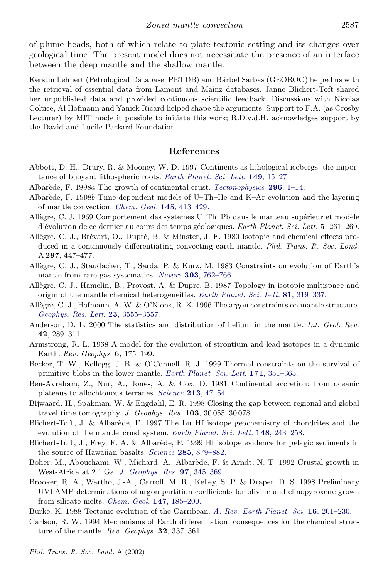of plume heads, both of which relate to plate-tectonic setting and its changes over geological time. The present model does not necessitate the presence of an interface between the deep mantle and the shallow mantle.

Kerstin Lehnert (Petrological Database, PETDB) and Barbel Sarbas (GEOROC) helped us with the retrieval of essential data from Lamont and Mainz databases. Janne Blichert-Toft shared her unpublished data and provided continuous scientific feedback. Discussions with Nicolas Coltice, Al Hofmann and Yanick Ricard helped shape the arguments. Support to F.A. (as Crosby Lecturer) by MIT made it possible to initiate this work; R.D.v.d.H. acknowledges support by the David and Lucile Packard Foundation.

#### References

- Abbott, D. H., Drury, R. & Mooney, W. D. 1997 Continents as lithological icebergs: the impor tance of buoyant lithospheric roots. *Earth [Planet.](http://giorgio.ingentaselect.com/nw=1/rpsv/cgi-bin/linker?ext=a&reqidx=/0012-821X^28^29149L.15[aid=3122574]) Sci. Lett.* 149, 15-27.
- Albarède, F. 1998a The growth of continental crust. *[Tectonophysics](http://giorgio.ingentaselect.com/nw=1/rpsv/cgi-bin/linker?ext=a&reqidx=/0040-1951^28^29296L.1[aid=3122575])* 296, 1–14.
- Albarède, F. 1998b Time-dependent models of U-Th-He and K-Ar evolution and the layering of mantle convection. *Chem. Geol.* **145**, 413-429.
- Allègre, C. J. 1969 Comportement des systemes U-Th-Pb dans le manteau supérieur et modèle d' évolution de ce dernier au cours des temps géologiques. *Earth Planet. Sci. Lett.* 5, 261–269.
- Allègre, C. J., Brévart, O., Dupré, B. & Minster, J. F. 1980 Isotopic and chemical effects produced in a continuously differentiating convecting earth mantle. *Phil. Trans. R. Soc. Lond.* A 297,  $447-477$ .
- Allègre, C. J., Staudacher, T., Sarda, P. & Kurz, M. 1983 Constraints on evolution of Earth's mantle from rare gas systematics. *Nature* **303**, 762-766.
- Allègre, C. J., Hamelin, B., Provost, A. & Dupre, B. 1987 Topology in isotopic multispace and origin of the mantle chemical heterogeneities. *Earth Planet. Sci. Lett.* 81, 319–337.
- Allègre, C. J., Hofmann, A. W. & O'Nions, R. K. 1996 The argon constraints on mantle structure. *Geophys. Res. Lett.* **23**, 3555-3557.
- Anderson, D. L. 2000 The statistics and distribution of helium in the mantle. *Int. Geol. Rev.* 42, 289-311.
- Armstrong, R. L. 1968 A model for the evolution of strontium and lead isotopes in a dynamic Earth. *Rev. Geophys.* **6**, 175–199.
- Becker, T. W., Kellogg, J. B. & O'Connell, R. J. 1999 Thermal constraints on the survival of primitive blobs in the lower mantle. *Earth Planet. Sci. Lett.* 171, 351-365.
- Ben-Avraham, Z., Nur, A., Jones, A. & Cox, D. 1981 Continental accretion: from oceanic plateaus to allochtonous terranes. *[Science](http://giorgio.ingentaselect.com/nw=1/rpsv/cgi-bin/linker?ext=a&reqidx=/0036-8075^28^29213L.47[aid=569590])* 213, 47-54.
- Bijwaard, H., Spakman, W. & Engdahl, E. R. 1998 Closing the gap between regional and global travel time tomography. *J. Geophys. Res.* **103**, 30055-30078.
- Blichert-Toft, J. & Albarède, F. 1997 The Lu-Hf isotope geochemistry of chondrites and the evolution of the mantle-crust system. *Earth Planet. Sci. Lett.* **148**, 243–258.
- Blichert-Toft, J., Frey, F. A. & Albarède, F. 1999 Hf isotope evidence for pelagic sediments in the source of Hawaiian basalts. *Science* 285, 879-882.
- Boher, M., Abouchami, W., Michard, A., Albarède, F. & Arndt, N. T. 1992 Crustal growth in West-Africa at 2.1 Ga. *J. [Geophys.](http://giorgio.ingentaselect.com/nw=1/rpsv/cgi-bin/linker?ext=a&reqidx=/0148-0227^28^2997L.345[aid=3122586]) Res.* **97**, 345-369.
- Brooker, R. A., Wartho, J.-A., Carroll, M. R., Kelley, S. P. & Draper, D. S. 1998 Preliminary UVLAMP determinations of argon partition coefficients for olivine and clinopyroxene grown from silicate melts. *Chem. Geol.*  $147$ ,  $185-200$ .
- Burke, K. 1988 Tectonic evolution of the Carribean. *A. Rev. Earth Planet. Sci.* 16, 201-230.
- Carlson, R. W. 1994 Mechanisms of Earth differentiation: consequences for the chemical structure of the mantle. *Rev. Geophys.* **32**, 337-361.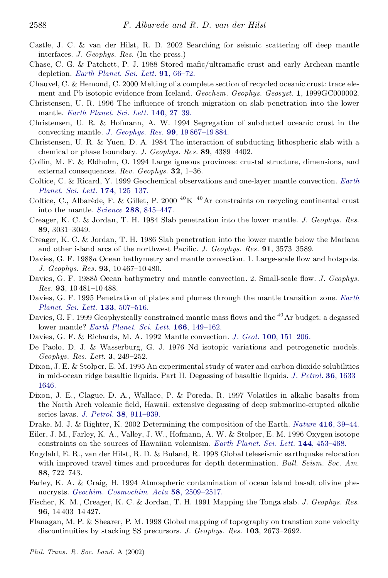- Castle, J. C. & van der Hilst, R. D. 2002 Searching for seismic scattering off deep mantle interfaces. *J. Geophys. Res.* (In the press.)
- Chase, C. G. & Patchett, P. J. 1988 Stored mafic/ultramafic crust and early Archean mantle depletion. *Earth [Planet.](http://giorgio.ingentaselect.com/nw=1/rpsv/cgi-bin/linker?ext=a&reqidx=/0012-821X^28^2991L.66[aid=3122590]) Sci. Lett.* **91**, 66-72.
- Chauvel, C. & Hemond, C. 2000 Melting of a complete section of recycled oceanic crust: trace ele ment and Pb isotopic evidence from Iceland. *Geochem. Geophys. Geosyst.* 1, 1999GC000002.
- Christensen, U. R. 1996 The influence of trench migration on slab penetration into the lower mantle. *Earth [Planet.](http://giorgio.ingentaselect.com/nw=1/rpsv/cgi-bin/linker?ext=a&reqidx=/0012-821X^28^29140L.27[aid=3122534]) Sci. Lett.* **140**, 27-39.
- Christensen, U. R. & Hofmann, A. W. 1994 Segregation of subducted oceanic crust in the convecting mantle. *J. [Geophys.](http://giorgio.ingentaselect.com/nw=1/rpsv/cgi-bin/linker?ext=a&reqidx=/0148-0227^28^2999L.19867[aid=3122591]) Res.* **99**, 19867-19884.
- Christensen, U. R. & Yuen, D. A. 1984 The interaction of subducting lithospheric slab with a chemical or phase boundary. *J. Geophys. Res.* 89, 4389-4402.
- Coffin, M. F. & Eldholm, O. 1994 Large igneous provinces: crustal structure, dimensions, and external consequences. Rev. Geophys. 32, 1-36.
- Coltice, C. & Ricard, Y. 1999 Geochemical observations and one-layer mantle convection. *[Earth](http://giorgio.ingentaselect.com/nw=1/rpsv/cgi-bin/linker?ext=a&reqidx=/0012-821X^28^29174L.125[aid=3122592]) Planet. Sci. Lett.* **174**, **125**–**137**.
- Coltice, C., Albarède, F. & Gillet, P. 2000<sup>40</sup>K<sup>-40</sup>Ar constraints on recycling continental crust into the mantle. *Science* **288**, 845–447.
- Creager, K. C. & Jordan, T. H. 1984 Slab penetration into the lower mantle. *J. Geophys. Res.* 89, 3031-3049.
- Creager, K. C. & Jordan, T. H. 1986 Slab penetration into the lower mantle below the Mariana and other island arcs of the northwest Pacific. *J. Geophys. Res.* **91**, 3573–3589.
- Davies, G. F. 1988a Ocean bathymetry and mantle convection. 1. Large-scale flow and hotspots. *J. Geophys. Res.* **93**, 10 467-10 480.
- Davies, G. F. 1988b Ocean bathymetry and mantle convection. 2. Small-scale flow. *J. Geophys. Res.* 93, 10481-10488.
- Davies, G. F. 1995 Penetration of plates and plumes through the mantle transition zone. *[Earth](http://giorgio.ingentaselect.com/nw=1/rpsv/cgi-bin/linker?ext=a&reqidx=/0012-821X^28^29133L.507[aid=3122597]) Planet. Sci. Lett.* **133**, 507-516.
- Davies, G. F. 1999 Geophysically constrained mantle mass flows and the <sup>40</sup> Ar budget: a degassed lower mantle? *Earth Planet. Sci. Lett.* **166**, 149–162.
- Davies, G. F. & Richards, M. A. 1992 Mantle convection. *J. Geol.* **100**, 151–206.
- De Paolo, D. J. & Wasserburg, G. J. 1976 Nd isotopic variations and petrogenetic models. *Geophys. Res. Lett.* 3, 249-252.
- Dixon, J. E. & Stolper, E. M. 1995 An experimental study of water and carbon dioxide solubilities in mid-ocean ridge basaltic liquids. Part II. Degassing of basaltic liquids. *J. [Petrol.](http://giorgio.ingentaselect.com/nw=1/rpsv/cgi-bin/linker?ext=a&reqidx=/0022-3530^28^2936L.1633[aid=3122600])* **36**, 1633– [1646.](http://giorgio.ingentaselect.com/nw=1/rpsv/cgi-bin/linker?ext=a&reqidx=/0022-3530^28^2936L.1633[aid=3122600])
- Dixon, J. E., Clague, D. A., Wallace, P. & Poreda, R. 1997 Volatiles in alkalic basalts from the North Arch volcanic field, Hawaii: extensive degassing of deep submarine-erupted alkalic series lavas. *J. Petrol.* **38**, 911-939.
- Drake, M. J. & Righter, K. 2002 Determining the composition of the Earth. *[Nature](http://giorgio.ingentaselect.com/nw=1/rpsv/cgi-bin/linker?ext=a&reqidx=/0028-0836^28^29416L.39[aid=3122601])* 416, 39–44.
- Eiler, J. M., Farley, K. A., Valley, J. W., Hofmann, A. W. & Stolper, E. M. 1996 Oxygen isotope constraints on the sources of Hawaiian volcanism. *Earth Planet. Sci. Lett.* **144**, 453–468.
- Engdahl, E. R., van der Hilst, R. D. & Buland, R. 1998 Global teleseismic earthquake relocation with improved travel times and procedures for depth determination. *Bull. Seism. Soc. Am.* 88, 722-743.
- Farley, K. A. & Craig, H. 1994 Atmospheric contamination of ocean island basalt olivine phe nocrysts. *Geochim. [Cosmochim.](http://giorgio.ingentaselect.com/nw=1/rpsv/cgi-bin/linker?ext=a&reqidx=/0016-7037^28^2958L.2509[aid=3122602]) Acta* 58, 2509-2517.
- Fischer, K. M., Creager, K. C. & Jordan, T. H. 1991 Mapping the Tonga slab. *J. Geophys. Res.* 96, 14 403-14 427.
- Flanagan, M. P. & Shearer, P. M. 1998 Global mapping of topography on transtion zone velocity discontinuities by stacking SS precursors. *J. Geophys. Res.* 103, 2673-2692.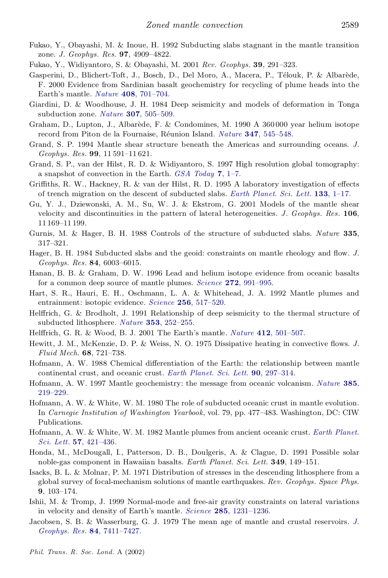- Fukao, Y., Obayashi, M. & Inoue, H. 1992 Subducting slabs stagnant in the mantle transition zone. *J. Geophys. Res.* 97, 4909-4822.
- Fukao, Y., Widiyantoro, S. & Obayashi, M. 2001 *Rev. Geophys.* **39**, 291–323.
- Gasperini, D., Blichert-Toft, J., Bosch, D., Del Moro, A., Macera, P., Télouk, P. & Albarède, F. 2000 Evidence from Sardinian basalt geochemistry for recycling of plume heads into the Earth's mantle. *Nature* 408, 701-704.
- Giardini, D. & Woodhouse, J. H. 1984 Deep seismicity and models of deformation in Tonga subduction zone. *Nature* **307**, 505-509.
- Graham, D., Lupton, J., Albarède, F. & Condomines, M. 1990 A 360000 year helium isotope record from Piton de la Fournaise, Réunion Island. *Nature* **347**, 545–548.
- Grand, S. P. 1994 Mantle shear structure beneath the Americas and surrounding oceans. *J. Geophys. Res.* **99**, 11591-11621.
- Grand, S. P., van der Hilst, R. D. & Widiyantoro, S. 1997 High resolution global tomography: a snapshot of convection in the Earth. *GSA* [Today](http://giorgio.ingentaselect.com/nw=1/rpsv/cgi-bin/linker?ext=a&reqidx=/1052-5173^28^297L.1[aid=3122544]) 7, 1-7.
- Griffiths, R. W., Hackney, R.  $\&$  van der Hilst, R. D. 1995 A laboratory investigation of effects of trench migration on the descent of subducted slabs. *Earth [Planet.](http://giorgio.ingentaselect.com/nw=1/rpsv/cgi-bin/linker?ext=a&reqidx=/0012-821X^28^29133L.1[aid=3122611]) Sci. Lett.* 133, 1{17.
- Gu, Y. J., Dziewonski, A. M., Su, W. J. & Ekstrom, G. 2001 Models of the mantle shear velocity and discontinuities in the pattern of lateral heterogeneities. *J. Geophys. Res.* 106, 11 169-11 199.
- Gurnis, M. & Hager, B. H. 1988 Controls of the structure of subducted slabs. *Nature* 335, 317{321.
- Hager, B. H. 1984 Subducted slabs and the geoid: constraints on mantle rheology and flow. *J. Geophys. Res.* **84**, 6003-6015.
- Hanan, B. B. & Graham, D. W. 1996 Lead and helium isotope evidence from oceanic basalts for a common deep source of mantle plumes. *Science* 272, 991-995.
- Hart, S. R., Hauri, E. H., Oschmann, L. A. & Whitehead, J. A. 1992 Mantle plumes and entrainment: isotopic evidence. *Science* 256, 517-520.
- Helffrich, G. & Brodholt, J. 1991 Relationship of deep seismicity to the thermal structure of subducted lithosphere. *Nature* 353, 252-255.
- Helffrich, G. R. & Wood, B. J. 2001 The Earth's mantle. *Nature* 412, 501–507.
- Hewitt, J. M., McKenzie, D. P. & Weiss, N. O. 1975 Dissipative heating in convective flows. *J. Fluid Mech.* **68**, 721–738.
- Hofmann, A. W. 1988 Chemical differentiation of the Earth: the relationship between mantle continental crust, and oceanic crust. *Earth Planet. Sci. Lett.* **90**, 297–314.
- Hofmann, A. W. 1997 Mantle geochemistry: the message from oceanic volcanism. *[Nature](http://giorgio.ingentaselect.com/nw=1/rpsv/cgi-bin/linker?ext=a&reqidx=/0028-0836^28^29385L.219[aid=2856736])* 385, 219-229.
- Hofmann, A. W. & White, W. M. 1980 The role of subducted oceanic crust in mantle evolution. In *Carnegie Institution of Washington Yearbook*, vol. 79, pp. 477-483. Washington, DC: CIW Publications.
- Hofmann, A. W. & White, W. M. 1982 Mantle plumes from ancient oceanic crust. *Earth [Planet.](http://giorgio.ingentaselect.com/nw=1/rpsv/cgi-bin/linker?ext=a&reqidx=/0012-821X^28^2957L.421[aid=1464963]) Sci. Lett.* **57**, 421–436.
- Honda, M., McDougall, I., Patterson, D. B., Doulgeris, A. & Clague, D. 1991 Possible solar noble-gas component in Hawaiian basalts. *Earth Planet. Sci. Lett.* 349, 149–151.
- Isacks, B. L. & Molnar, P. M. 1971 Distribution of stresses in the descending lithosphere from a global survey of focal-mechanism solutions of mantle earthquakes. *Rev. Geophys. Space Phys.*  $9, 103 - 174.$
- Ishii, M. & Tromp, J. 1999 Normal-mode and free-air gravity constraints on lateral variations in velocity and density of Earth's mantle. *Science* 285, 1231-1236.
- Jacobsen, S. B. & Wasserburg, G. J. 1979 The mean age of mantle and crustal reservoirs. *[J.](http://giorgio.ingentaselect.com/nw=1/rpsv/cgi-bin/linker?ext=a&reqidx=/0148-0227^28^2984L.7411[aid=3122622]) Geophys. Res.* **84**, 7411-7427.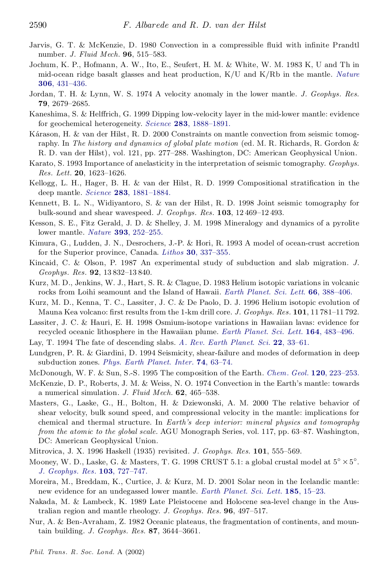- Jarvis, G. T. & McKenzie, D. 1980 Convection in a compressible fluid with infinite Prandtl number. *J. Fluid Mech.* **96**, 515–583.
- Jochum, K. P., Hofmann, A. W., Ito, E., Seufert, H. M. & White, W. M. 1983 K, U and Th in mid-ocean ridge basalt glasses and heat production, K/U and K/Rb in the mantle. *[Nature](http://giorgio.ingentaselect.com/nw=1/rpsv/cgi-bin/linker?ext=a&reqidx=/0028-0836^28^29306L.431[aid=3122624])* 306, 431-436.
- Jordan, T. H. & Lynn, W. S. 1974 A velocity anomaly in the lower mantle. *J. Geophys. Res.* 79, 2679-2685.
- Kaneshima, S. & Helffrich, G. 1999 Dipping low-velocity layer in the mid-lower mantle: evidence for geochemical heterogeneity. *Science* 283, 1888-1891.
- Kárason, H. & van der Hilst, R. D. 2000 Constraints on mantle convection from seismic tomography. In *The history and dynamics of global plate motion* (ed. M. R. Richards, R. Gordon & R. D. van der Hilst), vol. 121, pp. 277-288. Washington, DC: American Geophysical Union.
- Karato, S. 1993 Importance of anelasticity in the interpretation of seismic tomography. *Geophys. Res. Lett.* **20**, 1623-1626.
- Kellogg, L. H., Hager, B. H.  $\&$  van der Hilst, R. D. 1999 Compositional stratification in the deep mantle. *Science* **283**, 1881-1884.
- Kennett, B. L. N., Widiyantoro, S. & van der Hilst, R. D. 1998 Joint seismic tomography for bulk-sound and shear wavespeed. *J. Geophys. Res.* **103**, 12469–12493.
- Kesson, S. E., Fitz Gerald, J. D. & Shelley, J. M. 1998 Mineralogy and dynamics of a pyrolite lower mantle. *Nature* **393**, 252-255.
- Kimura, G., Ludden, J. N., Desrochers, J.-P. & Hori, R. 1993 A model of ocean-crust accretion for the Superior province, Canada. *Lithos* 30, 337-355.
- Kincaid, C. & Olson, P. 1987 An experimental study of subduction and slab migration. *J. Geophys. Res.* **92**, 13 832-13 840.
- Kurz, M. D., Jenkins, W. J., Hart, S. R. & Clague, D. 1983 Helium isotopic variations in volcanic rocks from Loihi seamount and the Island of Hawaii. *Earth Planet. Sci. Lett.* **66**, 388–406.
- Kurz, M. D., Kenna, T. C., Lassiter, J. C. & De Paolo, D. J. 1996 Helium isotopic evolution of Mauna Kea volcano: first results from the 1-km drill core. *J. Geophys. Res.* 101, 11781–11792.
- Lassiter, J. C. & Hauri, E. H. 1998 Osmium-isotope variations in Hawaiian lavas: evidence for recycled oceanic lithosphere in the Hawaiian plume. *Earth Planet. Sci. Lett.* **164**, 483-496.
- Lay, T. 1994 The fate of descending slabs. A. Rev. Earth [Planet.](http://giorgio.ingentaselect.com/nw=1/rpsv/cgi-bin/linker?ext=a&reqidx=/0084-6597^28^2922L.33[aid=3122634]) Sci. 22, 33–61.
- Lundgren, P. R. & Giardini, D. 1994 Seismicity, shear-failure and modes of deformation in deep subduction zones. *Phys. Earth [Planet.](http://giorgio.ingentaselect.com/nw=1/rpsv/cgi-bin/linker?ext=a&reqidx=/0031-9201^28^2974L.63[aid=3122635]) Inter.* 74, 63-74.
- McDonough, W. F. & Sun, S.-S. 1995 The composition of the Earth. *Chem. Geol.* 120, 223–253.
- McKenzie, D. P., Roberts, J. M. & Weiss, N. O. 1974 Convection in the Earth's mantle: towards a numerical simulation. *J. Fluid Mech.* 62, 465-538.
- Masters, G., Laske, G., H., Bolton, H. & Dziewonski, A. M. 2000 The relative behavior of shear velocity, bulk sound speed, and compressional velocity in the mantle: implications for chemical and thermal structure. In *Earth's deep interior: mineral physics and tomography from the atomic to the global scale.* AGU Monograph Series, vol. 117, pp. 63–87. Washington, DC: American Geophysical Union.
- Mitrovica, J. X. 1996 Haskell (1935) revisited. *J. Geophys. Res.* **101**, 555–569.
- Mooney, W. D., Laske, G. & Masters, T. G. 1998 CRUST 5.1: a global crustal model at  $5^{\circ} \times 5^{\circ}$ . *J. [Geophys.](http://giorgio.ingentaselect.com/nw=1/rpsv/cgi-bin/linker?ext=a&reqidx=/0148-0227^28^29103L.727[aid=3122637]) Res.* **103**, 727-747.
- Moreira, M., Breddam, K., Curtice, J. & Kurz, M. D. 2001 Solar neon in the Icelandic mantle: new evidence for an undegassed lower mantle. *Earth [Planet.](http://giorgio.ingentaselect.com/nw=1/rpsv/cgi-bin/linker?ext=a&reqidx=/0012-821X^28^29185L.15[aid=3122638]) Sci. Lett.* **185**, 15–23.
- Nakada, M. & Lambeck, K. 1989 Late Pleistocene and Holocene sea-level change in the Aus tralian region and mantle rheology. *J. Geophys. Res.* 96, 497-517.
- Nur, A. & Ben-Avraham, Z. 1982 Oceanic plateaus, the fragmentation of continents, and moun tain building. *J. Geophys. Res.* 87, 3644-3661.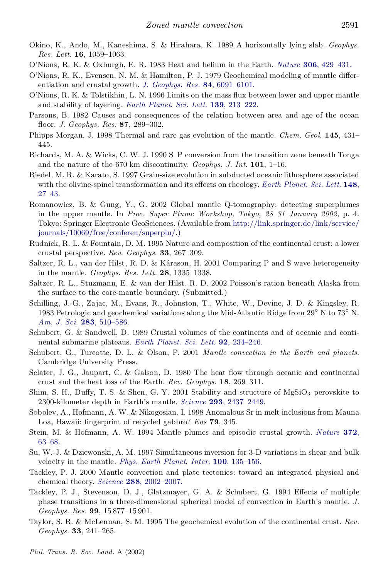- Okino, K., Ando, M., Kaneshima, S. & Hirahara, K. 1989 A horizontally lying slab. *Geophys. Res. Lett.* **16**, 1059-1063.
- O'Nions, R. K. & Oxburgh, E. R. 1983 Heat and helium in the Earth. *Nature* **306**, 429–431.
- $O'$  Nions, R. K., Evensen, N. M. & Hamilton, P. J. 1979 Geochemical modeling of mantle differentiation and crustal growth. *J. Geophys. Res.* 84, 6091-6101.
- O'Nions, R. K. & Tolstikhin, L. N. 1996 Limits on the mass flux between lower and upper mantle and stability of layering. *Earth Planet. Sci. Lett.* **139**, 213–222.
- Parsons, B. 1982 Causes and consequences of the relation between area and age of the ocean floor. *J. Geophys. Res.* **87**, 289–302.
- Phipps Morgan, J. 1998 Thermal and rare gas evolution of the mantle. *Chem. Geol.* 145, 431– 445.
- Richards, M. A. & Wicks, C. W. J. 1990 S-P conversion from the transition zone beneath Tonga and the nature of the 670 km discontinuity. *Geophys. J. Int.* **101**, 1–16.
- Riedel, M. R. & Karato, S. 1997 Grain-size evolution in subducted oceanic lithosphere associated with the olivine-spinel transformation and its effects on rheology. *Earth [Planet.](http://giorgio.ingentaselect.com/nw=1/rpsv/cgi-bin/linker?ext=a&reqidx=/0012-821X^28^29148L.27[aid=208976]) Sci. Lett.* 148,  $27 - 43.$
- Romanowicz, B. & Gung, Y., G. 2002 Global mantle Q-tomography: detecting superplumes in the upper mantle. In *Proc. Super Plume Workshop, Tokyo, 28-31 January 2002*, p. 4. Tokyo: Springer Electronic GeoSciences. (Available from [http://link.springer.de/link/service/](http://link.springer.de/link/service/journals/10069/free/conferen/superplu/) [journals/10069/free/conferen/superplu/.\)](http://link.springer.de/link/service/journals/10069/free/conferen/superplu/)
- Rudnick, R. L. & Fountain, D. M. 1995 Nature and composition of the continental crust: a lower crustal perspective. *Rev. Geophys.* **33**, 267-309.
- Saltzer, R. L., van der Hilst, R. D. & Kárason, H. 2001 Comparing P and S wave heterogeneity in the mantle. *Geophys. Res. Lett.* **28**, 1335–1338.
- Saltzer, R. L., Stuzmann, E. & van der Hilst, R. D. 2002 Poisson's ration beneath Alaska from the surface to the core-mantle boundary. (Submitted.)
- Schilling, J.-G., Zajac, M., Evans, R., Johnston, T., White, W., Devine, J. D. & Kingsley, R. 1983 Petrologic and geochemical variations along the Mid-Atlantic Ridge from  $29^{\circ}$  N to  $73^{\circ}$  N. *Am. J. Sci.* 283, 510-586.
- Schubert, G. & Sandwell, D. 1989 Crustal volumes of the continents and of oceanic and conti nental submarine plateaus. *Earth Planet. Sci. Lett.* **92**, 234–246.
- Schubert, G., Turcotte, D. L. & Olson, P. 2001 *Mantle convection in the Earth and planets*. Cambridge University Press.
- Sclater, J. G., Jaupart, C. & Galson, D. 1980 The heat flow through oceanic and continental crust and the heat loss of the Earth. *Rev. Geophys.* **18**, 269–311.
- Shim, S. H., Duffy, T. S. & Shen, G. Y. 2001 Stability and structure of MgSiO<sub>3</sub> perovskite to 2300-kilometer depth in Earth's mantle. *Science* 293, 2437-2449.
- Sobolev, A., Hofmann, A. W. & Nikogosian, I. 1998 Anomalous Sr in melt inclusions from Mauna Loa, Hawaii: fingerprint of recycled gabbro? *Eos* 79, 345.
- Stein, M. & Hofmann, A. W. 1994 Mantle plumes and episodic crustal growth. *[Nature](http://giorgio.ingentaselect.com/nw=1/rpsv/cgi-bin/linker?ext=a&reqidx=/0028-0836^28^29372L.63[aid=2856761])* 372, 63-68.
- Su, W.-J. & Dziewonski, A. M. 1997 Simultaneous inversion for 3-D variations in shear and bulk velocity in the mantle. *Phys. Earth Planet. Inter.* 100, 135–156.
- Tackley, P. J. 2000 Mantle convection and plate tectonics: toward an integrated physical and chemical theory. *Science* **288**, 2002-2007.
- Tackley, P. J., Stevenson, D. J., Glatzmayer, G. A. & Schubert, G. 1994 Effects of multiple phase transitions in a three-dimensional spherical model of convection in Earth's mantle. *J. Geophys. Res.* 99, 15877-15901.
- Taylor, S. R. & McLennan, S. M. 1995 The geochemical evolution of the continental crust. *Rev. Geophys.* **33**, 241-265.